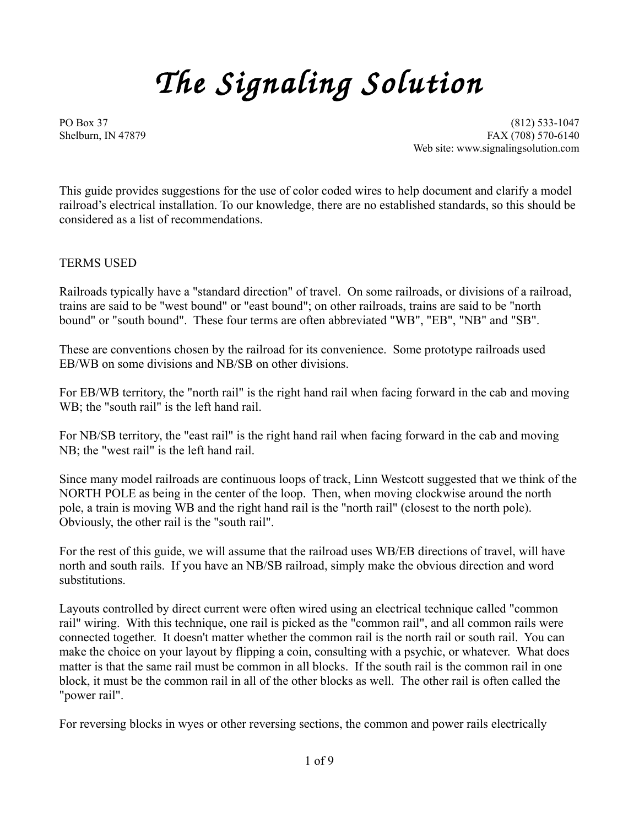# *The Signaling Solution*

PO Box 37 (812) 533-1047 Shelburn, IN 47879 **FAX** (708) 570-6140 Web site: www.signalingsolution.com

This guide provides suggestions for the use of color coded wires to help document and clarify a model railroad's electrical installation. To our knowledge, there are no established standards, so this should be considered as a list of recommendations.

TERMS USED

Railroads typically have a "standard direction" of travel. On some railroads, or divisions of a railroad, trains are said to be "west bound" or "east bound"; on other railroads, trains are said to be "north bound" or "south bound". These four terms are often abbreviated "WB", "EB", "NB" and "SB".

These are conventions chosen by the railroad for its convenience. Some prototype railroads used EB/WB on some divisions and NB/SB on other divisions.

For EB/WB territory, the "north rail" is the right hand rail when facing forward in the cab and moving WB; the "south rail" is the left hand rail.

For NB/SB territory, the "east rail" is the right hand rail when facing forward in the cab and moving NB; the "west rail" is the left hand rail.

Since many model railroads are continuous loops of track, Linn Westcott suggested that we think of the NORTH POLE as being in the center of the loop. Then, when moving clockwise around the north pole, a train is moving WB and the right hand rail is the "north rail" (closest to the north pole). Obviously, the other rail is the "south rail".

For the rest of this guide, we will assume that the railroad uses WB/EB directions of travel, will have north and south rails. If you have an NB/SB railroad, simply make the obvious direction and word substitutions.

Layouts controlled by direct current were often wired using an electrical technique called "common rail" wiring. With this technique, one rail is picked as the "common rail", and all common rails were connected together. It doesn't matter whether the common rail is the north rail or south rail. You can make the choice on your layout by flipping a coin, consulting with a psychic, or whatever. What does matter is that the same rail must be common in all blocks. If the south rail is the common rail in one block, it must be the common rail in all of the other blocks as well. The other rail is often called the "power rail".

For reversing blocks in wyes or other reversing sections, the common and power rails electrically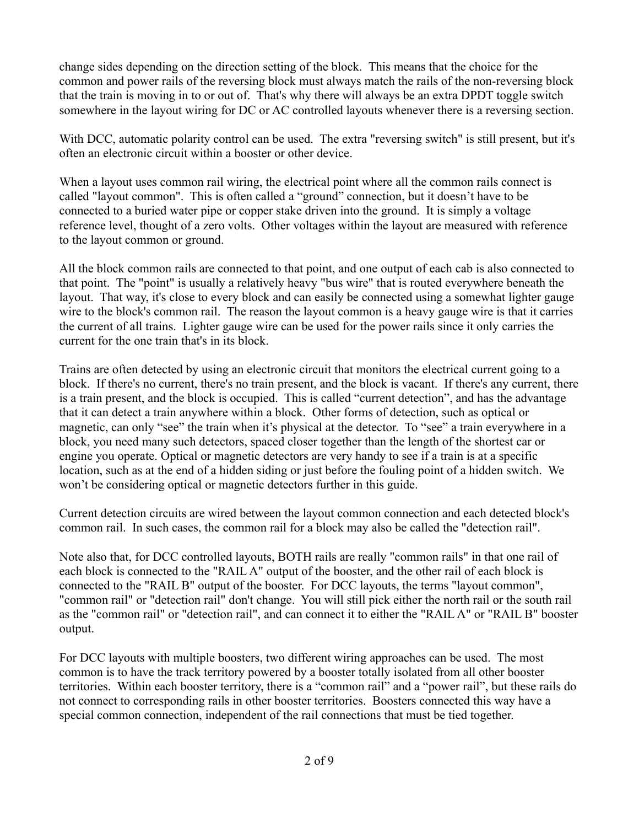change sides depending on the direction setting of the block. This means that the choice for the common and power rails of the reversing block must always match the rails of the non-reversing block that the train is moving in to or out of. That's why there will always be an extra DPDT toggle switch somewhere in the layout wiring for DC or AC controlled layouts whenever there is a reversing section.

With DCC, automatic polarity control can be used. The extra "reversing switch" is still present, but it's often an electronic circuit within a booster or other device.

When a layout uses common rail wiring, the electrical point where all the common rails connect is called "layout common". This is often called a "ground" connection, but it doesn't have to be connected to a buried water pipe or copper stake driven into the ground. It is simply a voltage reference level, thought of a zero volts. Other voltages within the layout are measured with reference to the layout common or ground.

All the block common rails are connected to that point, and one output of each cab is also connected to that point. The "point" is usually a relatively heavy "bus wire" that is routed everywhere beneath the layout. That way, it's close to every block and can easily be connected using a somewhat lighter gauge wire to the block's common rail. The reason the layout common is a heavy gauge wire is that it carries the current of all trains. Lighter gauge wire can be used for the power rails since it only carries the current for the one train that's in its block.

Trains are often detected by using an electronic circuit that monitors the electrical current going to a block. If there's no current, there's no train present, and the block is vacant. If there's any current, there is a train present, and the block is occupied. This is called "current detection", and has the advantage that it can detect a train anywhere within a block. Other forms of detection, such as optical or magnetic, can only "see" the train when it's physical at the detector. To "see" a train everywhere in a block, you need many such detectors, spaced closer together than the length of the shortest car or engine you operate. Optical or magnetic detectors are very handy to see if a train is at a specific location, such as at the end of a hidden siding or just before the fouling point of a hidden switch. We won't be considering optical or magnetic detectors further in this guide.

Current detection circuits are wired between the layout common connection and each detected block's common rail. In such cases, the common rail for a block may also be called the "detection rail".

Note also that, for DCC controlled layouts, BOTH rails are really "common rails" in that one rail of each block is connected to the "RAIL A" output of the booster, and the other rail of each block is connected to the "RAIL B" output of the booster. For DCC layouts, the terms "layout common", "common rail" or "detection rail" don't change. You will still pick either the north rail or the south rail as the "common rail" or "detection rail", and can connect it to either the "RAIL A" or "RAIL B" booster output.

For DCC layouts with multiple boosters, two different wiring approaches can be used. The most common is to have the track territory powered by a booster totally isolated from all other booster territories. Within each booster territory, there is a "common rail" and a "power rail", but these rails do not connect to corresponding rails in other booster territories. Boosters connected this way have a special common connection, independent of the rail connections that must be tied together.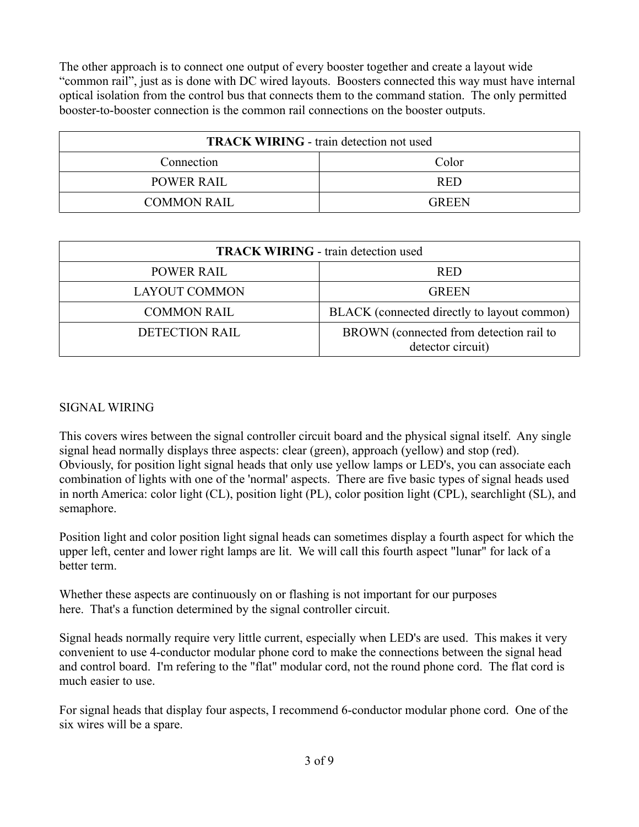The other approach is to connect one output of every booster together and create a layout wide "common rail", just as is done with DC wired layouts. Boosters connected this way must have internal optical isolation from the control bus that connects them to the command station. The only permitted booster-to-booster connection is the common rail connections on the booster outputs.

| <b>TRACK WIRING - train detection not used</b> |              |
|------------------------------------------------|--------------|
| Connection                                     | Color        |
| <b>POWER RAIL</b>                              | <b>RED</b>   |
| <b>COMMON RAIL</b>                             | <b>GREEN</b> |

| <b>TRACK WIRING - train detection used</b> |                                                              |
|--------------------------------------------|--------------------------------------------------------------|
| <b>POWER RAIL</b>                          | <b>RED</b>                                                   |
| <b>LAYOUT COMMON</b>                       | <b>GREEN</b>                                                 |
| <b>COMMON RAIL</b>                         | BLACK (connected directly to layout common)                  |
| <b>DETECTION RAIL</b>                      | BROWN (connected from detection rail to<br>detector circuit) |

## SIGNAL WIRING

This covers wires between the signal controller circuit board and the physical signal itself. Any single signal head normally displays three aspects: clear (green), approach (yellow) and stop (red). Obviously, for position light signal heads that only use yellow lamps or LED's, you can associate each combination of lights with one of the 'normal' aspects. There are five basic types of signal heads used in north America: color light (CL), position light (PL), color position light (CPL), searchlight (SL), and semaphore.

Position light and color position light signal heads can sometimes display a fourth aspect for which the upper left, center and lower right lamps are lit. We will call this fourth aspect "lunar" for lack of a better term.

Whether these aspects are continuously on or flashing is not important for our purposes here. That's a function determined by the signal controller circuit.

Signal heads normally require very little current, especially when LED's are used. This makes it very convenient to use 4-conductor modular phone cord to make the connections between the signal head and control board. I'm refering to the "flat" modular cord, not the round phone cord. The flat cord is much easier to use.

For signal heads that display four aspects, I recommend 6-conductor modular phone cord. One of the six wires will be a spare.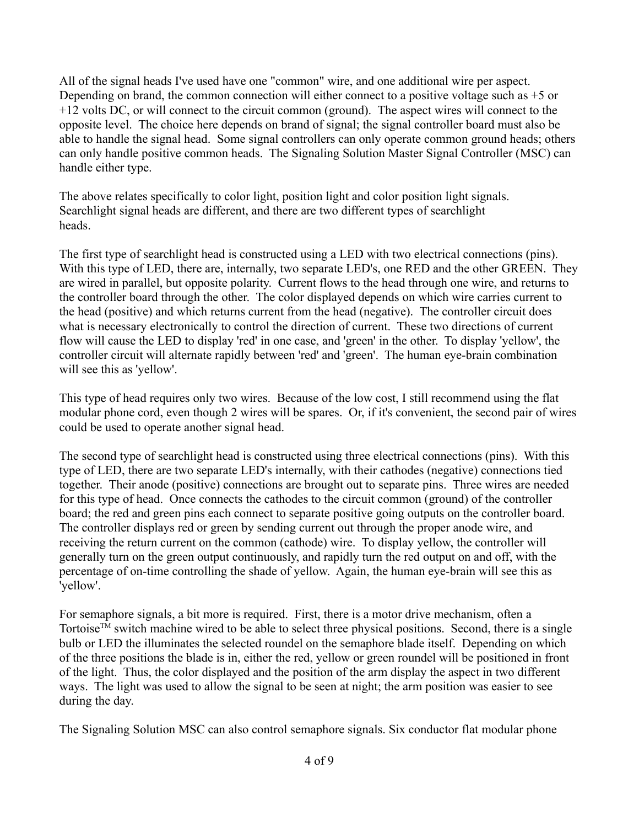All of the signal heads I've used have one "common" wire, and one additional wire per aspect. Depending on brand, the common connection will either connect to a positive voltage such as +5 or +12 volts DC, or will connect to the circuit common (ground). The aspect wires will connect to the opposite level. The choice here depends on brand of signal; the signal controller board must also be able to handle the signal head. Some signal controllers can only operate common ground heads; others can only handle positive common heads. The Signaling Solution Master Signal Controller (MSC) can handle either type.

The above relates specifically to color light, position light and color position light signals. Searchlight signal heads are different, and there are two different types of searchlight heads.

The first type of searchlight head is constructed using a LED with two electrical connections (pins). With this type of LED, there are, internally, two separate LED's, one RED and the other GREEN. They are wired in parallel, but opposite polarity. Current flows to the head through one wire, and returns to the controller board through the other. The color displayed depends on which wire carries current to the head (positive) and which returns current from the head (negative). The controller circuit does what is necessary electronically to control the direction of current. These two directions of current flow will cause the LED to display 'red' in one case, and 'green' in the other. To display 'yellow', the controller circuit will alternate rapidly between 'red' and 'green'. The human eye-brain combination will see this as 'yellow'.

This type of head requires only two wires. Because of the low cost, I still recommend using the flat modular phone cord, even though 2 wires will be spares. Or, if it's convenient, the second pair of wires could be used to operate another signal head.

The second type of searchlight head is constructed using three electrical connections (pins). With this type of LED, there are two separate LED's internally, with their cathodes (negative) connections tied together. Their anode (positive) connections are brought out to separate pins. Three wires are needed for this type of head. Once connects the cathodes to the circuit common (ground) of the controller board; the red and green pins each connect to separate positive going outputs on the controller board. The controller displays red or green by sending current out through the proper anode wire, and receiving the return current on the common (cathode) wire. To display yellow, the controller will generally turn on the green output continuously, and rapidly turn the red output on and off, with the percentage of on-time controlling the shade of yellow. Again, the human eye-brain will see this as 'yellow'.

For semaphore signals, a bit more is required. First, there is a motor drive mechanism, often a Tortoise<sup>™</sup> switch machine wired to be able to select three physical positions. Second, there is a single bulb or LED the illuminates the selected roundel on the semaphore blade itself. Depending on which of the three positions the blade is in, either the red, yellow or green roundel will be positioned in front of the light. Thus, the color displayed and the position of the arm display the aspect in two different ways. The light was used to allow the signal to be seen at night; the arm position was easier to see during the day.

The Signaling Solution MSC can also control semaphore signals. Six conductor flat modular phone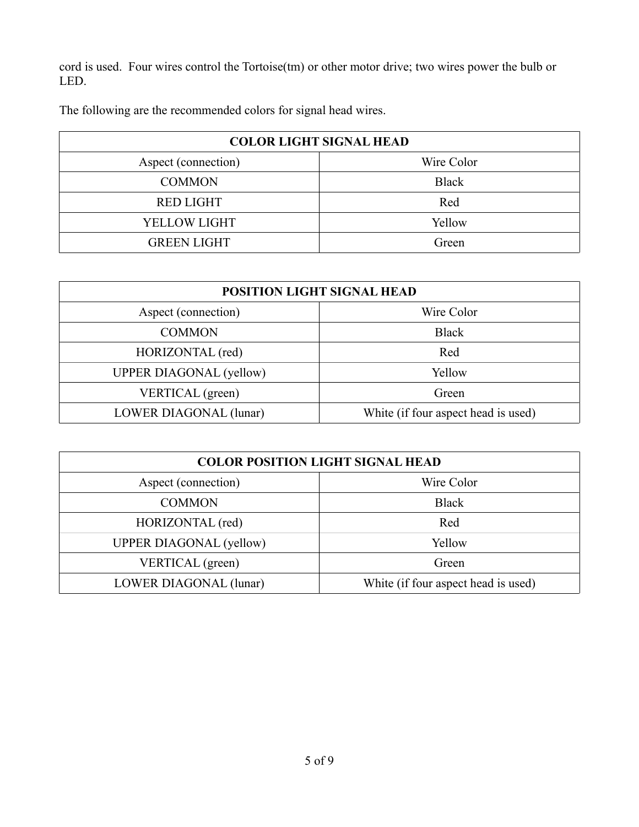cord is used. Four wires control the Tortoise(tm) or other motor drive; two wires power the bulb or LED.

The following are the recommended colors for signal head wires.

| <b>COLOR LIGHT SIGNAL HEAD</b> |              |
|--------------------------------|--------------|
| Aspect (connection)            | Wire Color   |
| <b>COMMON</b>                  | <b>Black</b> |
| <b>RED LIGHT</b>               | Red          |
| YELLOW LIGHT                   | Yellow       |
| <b>GREEN LIGHT</b>             | Green        |

| POSITION LIGHT SIGNAL HEAD     |                                     |
|--------------------------------|-------------------------------------|
| Aspect (connection)            | Wire Color                          |
| <b>COMMON</b>                  | <b>Black</b>                        |
| HORIZONTAL (red)               | Red                                 |
| <b>UPPER DIAGONAL</b> (yellow) | Yellow                              |
| VERTICAL (green)               | Green                               |
| LOWER DIAGONAL (lunar)         | White (if four aspect head is used) |

| <b>COLOR POSITION LIGHT SIGNAL HEAD</b> |                                     |
|-----------------------------------------|-------------------------------------|
| Aspect (connection)                     | Wire Color                          |
| <b>COMMON</b>                           | <b>Black</b>                        |
| HORIZONTAL (red)                        | Red                                 |
| <b>UPPER DIAGONAL</b> (yellow)          | Yellow                              |
| VERTICAL (green)                        | Green                               |
| LOWER DIAGONAL (lunar)                  | White (if four aspect head is used) |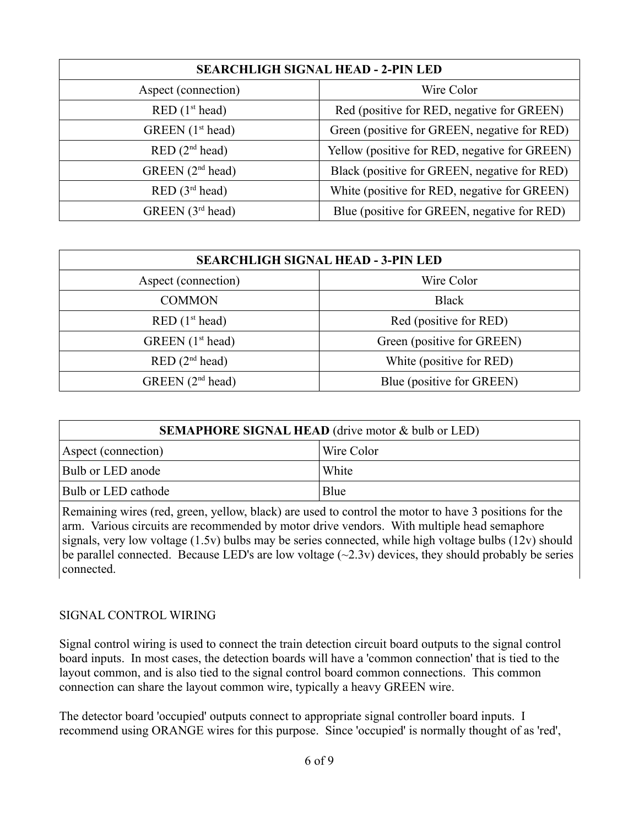| <b>SEARCHLIGH SIGNAL HEAD - 2-PIN LED</b> |                                               |
|-------------------------------------------|-----------------------------------------------|
| Aspect (connection)                       | Wire Color                                    |
| RED(1 <sup>st</sup> head)                 | Red (positive for RED, negative for GREEN)    |
| GREEN (1 <sup>st</sup> head)              | Green (positive for GREEN, negative for RED)  |
| RED(2 <sup>nd</sup> head)                 | Yellow (positive for RED, negative for GREEN) |
| GREEN $(2nd head)$                        | Black (positive for GREEN, negative for RED)  |
| RED(3 <sup>rd</sup> head)                 | White (positive for RED, negative for GREEN)  |
| GREEN (3 <sup>rd</sup> head)              | Blue (positive for GREEN, negative for RED)   |

| <b>SEARCHLIGH SIGNAL HEAD - 3-PIN LED</b> |                            |
|-------------------------------------------|----------------------------|
| Aspect (connection)                       | Wire Color                 |
| <b>COMMON</b>                             | <b>Black</b>               |
| RED(1 <sup>st</sup> head)                 | Red (positive for RED)     |
| GREEN $(1st head)$                        | Green (positive for GREEN) |
| RED(2 <sup>nd</sup> head)                 | White (positive for RED)   |
| GREEN $(2nd head)$                        | Blue (positive for GREEN)  |

| <b>SEMAPHORE SIGNAL HEAD</b> (drive motor & bulb or LED) |            |
|----------------------------------------------------------|------------|
| Aspect (connection)                                      | Wire Color |
| Bulb or LED anode                                        | White      |
| Bulb or LED cathode                                      | Blue       |

Remaining wires (red, green, yellow, black) are used to control the motor to have 3 positions for the arm. Various circuits are recommended by motor drive vendors. With multiple head semaphore signals, very low voltage (1.5v) bulbs may be series connected, while high voltage bulbs (12v) should be parallel connected. Because LED's are low voltage  $(\sim 2.3v)$  devices, they should probably be series connected.

#### SIGNAL CONTROL WIRING

Signal control wiring is used to connect the train detection circuit board outputs to the signal control board inputs. In most cases, the detection boards will have a 'common connection' that is tied to the layout common, and is also tied to the signal control board common connections. This common connection can share the layout common wire, typically a heavy GREEN wire.

The detector board 'occupied' outputs connect to appropriate signal controller board inputs. I recommend using ORANGE wires for this purpose. Since 'occupied' is normally thought of as 'red',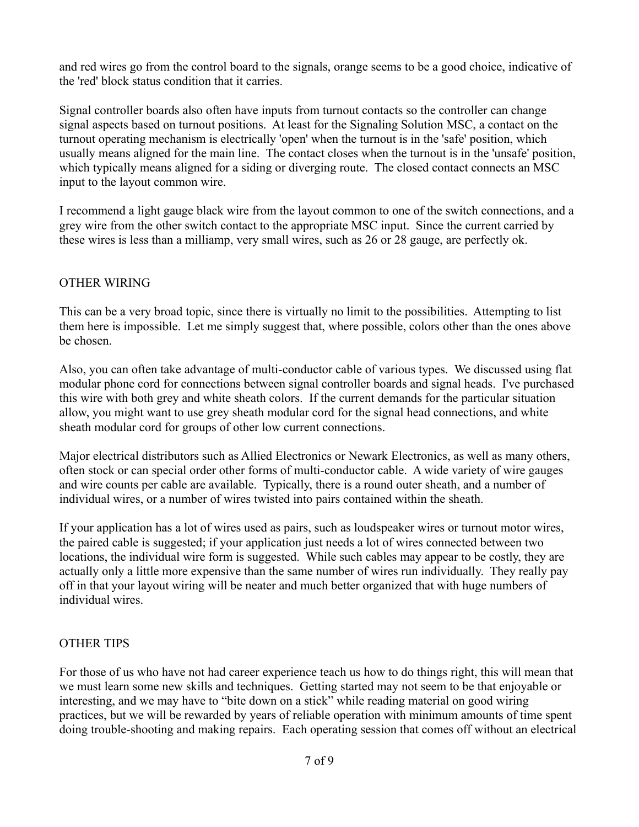and red wires go from the control board to the signals, orange seems to be a good choice, indicative of the 'red' block status condition that it carries.

Signal controller boards also often have inputs from turnout contacts so the controller can change signal aspects based on turnout positions. At least for the Signaling Solution MSC, a contact on the turnout operating mechanism is electrically 'open' when the turnout is in the 'safe' position, which usually means aligned for the main line. The contact closes when the turnout is in the 'unsafe' position, which typically means aligned for a siding or diverging route. The closed contact connects an MSC input to the layout common wire.

I recommend a light gauge black wire from the layout common to one of the switch connections, and a grey wire from the other switch contact to the appropriate MSC input. Since the current carried by these wires is less than a milliamp, very small wires, such as 26 or 28 gauge, are perfectly ok.

## OTHER WIRING

This can be a very broad topic, since there is virtually no limit to the possibilities. Attempting to list them here is impossible. Let me simply suggest that, where possible, colors other than the ones above be chosen.

Also, you can often take advantage of multi-conductor cable of various types. We discussed using flat modular phone cord for connections between signal controller boards and signal heads. I've purchased this wire with both grey and white sheath colors. If the current demands for the particular situation allow, you might want to use grey sheath modular cord for the signal head connections, and white sheath modular cord for groups of other low current connections.

Major electrical distributors such as Allied Electronics or Newark Electronics, as well as many others, often stock or can special order other forms of multi-conductor cable. A wide variety of wire gauges and wire counts per cable are available. Typically, there is a round outer sheath, and a number of individual wires, or a number of wires twisted into pairs contained within the sheath.

If your application has a lot of wires used as pairs, such as loudspeaker wires or turnout motor wires, the paired cable is suggested; if your application just needs a lot of wires connected between two locations, the individual wire form is suggested. While such cables may appear to be costly, they are actually only a little more expensive than the same number of wires run individually. They really pay off in that your layout wiring will be neater and much better organized that with huge numbers of individual wires.

## OTHER TIPS

For those of us who have not had career experience teach us how to do things right, this will mean that we must learn some new skills and techniques. Getting started may not seem to be that enjoyable or interesting, and we may have to "bite down on a stick" while reading material on good wiring practices, but we will be rewarded by years of reliable operation with minimum amounts of time spent doing trouble-shooting and making repairs. Each operating session that comes off without an electrical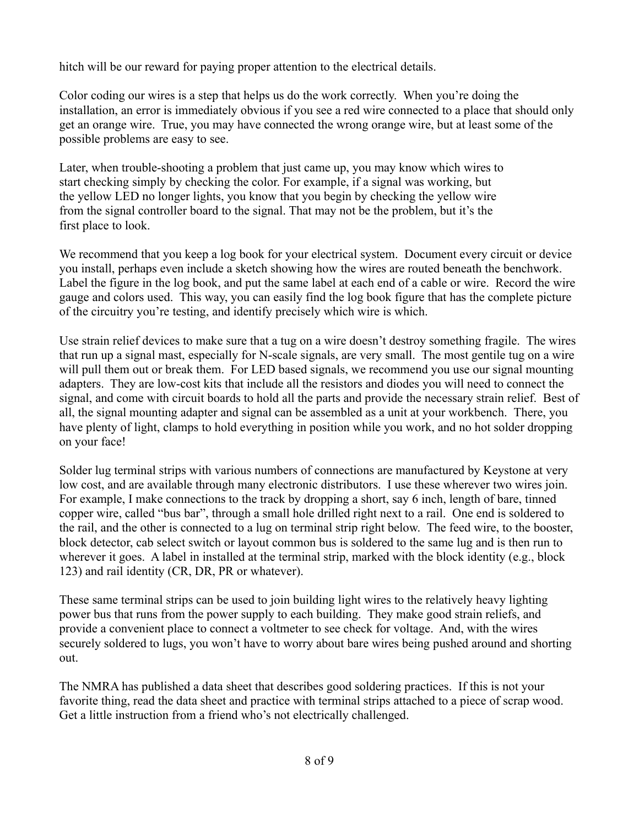hitch will be our reward for paying proper attention to the electrical details.

Color coding our wires is a step that helps us do the work correctly. When you're doing the installation, an error is immediately obvious if you see a red wire connected to a place that should only get an orange wire. True, you may have connected the wrong orange wire, but at least some of the possible problems are easy to see.

Later, when trouble-shooting a problem that just came up, you may know which wires to start checking simply by checking the color. For example, if a signal was working, but the yellow LED no longer lights, you know that you begin by checking the yellow wire from the signal controller board to the signal. That may not be the problem, but it's the first place to look.

We recommend that you keep a log book for your electrical system. Document every circuit or device you install, perhaps even include a sketch showing how the wires are routed beneath the benchwork. Label the figure in the log book, and put the same label at each end of a cable or wire. Record the wire gauge and colors used. This way, you can easily find the log book figure that has the complete picture of the circuitry you're testing, and identify precisely which wire is which.

Use strain relief devices to make sure that a tug on a wire doesn't destroy something fragile. The wires that run up a signal mast, especially for N-scale signals, are very small. The most gentile tug on a wire will pull them out or break them. For LED based signals, we recommend you use our signal mounting adapters. They are low-cost kits that include all the resistors and diodes you will need to connect the signal, and come with circuit boards to hold all the parts and provide the necessary strain relief. Best of all, the signal mounting adapter and signal can be assembled as a unit at your workbench. There, you have plenty of light, clamps to hold everything in position while you work, and no hot solder dropping on your face!

Solder lug terminal strips with various numbers of connections are manufactured by Keystone at very low cost, and are available through many electronic distributors. I use these wherever two wires join. For example, I make connections to the track by dropping a short, say 6 inch, length of bare, tinned copper wire, called "bus bar", through a small hole drilled right next to a rail. One end is soldered to the rail, and the other is connected to a lug on terminal strip right below. The feed wire, to the booster, block detector, cab select switch or layout common bus is soldered to the same lug and is then run to wherever it goes. A label in installed at the terminal strip, marked with the block identity (e.g., block 123) and rail identity (CR, DR, PR or whatever).

These same terminal strips can be used to join building light wires to the relatively heavy lighting power bus that runs from the power supply to each building. They make good strain reliefs, and provide a convenient place to connect a voltmeter to see check for voltage. And, with the wires securely soldered to lugs, you won't have to worry about bare wires being pushed around and shorting out.

The NMRA has published a data sheet that describes good soldering practices. If this is not your favorite thing, read the data sheet and practice with terminal strips attached to a piece of scrap wood. Get a little instruction from a friend who's not electrically challenged.